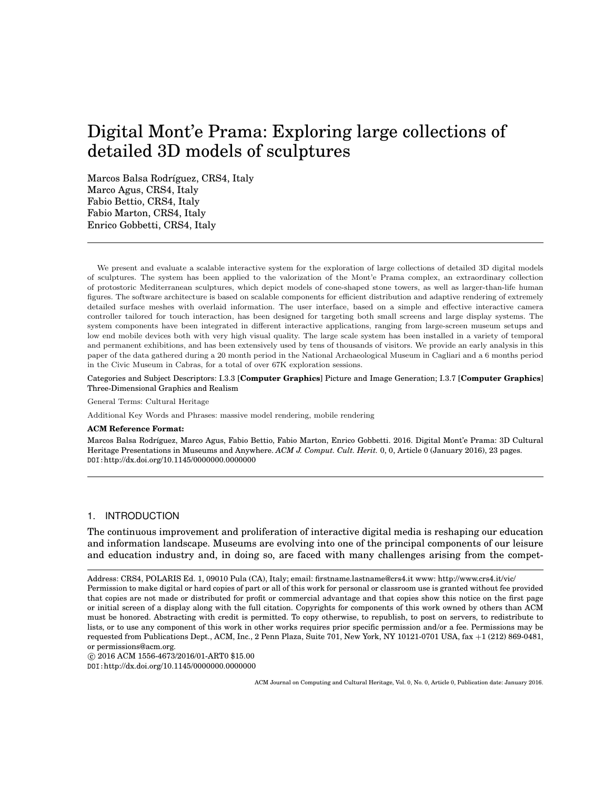# Digital Mont'e Prama: Exploring large collections of detailed 3D models of sculptures

Marcos Balsa Rodríguez, CRS4, Italy Marco Agus, CRS4, Italy Fabio Bettio, CRS4, Italy Fabio Marton, CRS4, Italy Enrico Gobbetti, CRS4, Italy

We present and evaluate a scalable interactive system for the exploration of large collections of detailed 3D digital models of sculptures. The system has been applied to the valorization of the Mont'e Prama complex, an extraordinary collection of protostoric Mediterranean sculptures, which depict models of cone-shaped stone towers, as well as larger-than-life human figures. The software architecture is based on scalable components for efficient distribution and adaptive rendering of extremely detailed surface meshes with overlaid information. The user interface, based on a simple and effective interactive camera controller tailored for touch interaction, has been designed for targeting both small screens and large display systems. The system components have been integrated in different interactive applications, ranging from large-screen museum setups and low end mobile devices both with very high visual quality. The large scale system has been installed in a variety of temporal and permanent exhibitions, and has been extensively used by tens of thousands of visitors. We provide an early analysis in this paper of the data gathered during a 20 month period in the National Archaeological Museum in Cagliari and a 6 months period in the Civic Museum in Cabras, for a total of over 67K exploration sessions.

Categories and Subject Descriptors: I.3.3 [**Computer Graphics**] Picture and Image Generation; I.3.7 [**Computer Graphics**] Three-Dimensional Graphics and Realism

General Terms: Cultural Heritage

Additional Key Words and Phrases: massive model rendering, mobile rendering

#### **ACM Reference Format:**

Marcos Balsa Rodríguez, Marco Agus, Fabio Bettio, Fabio Marton, Enrico Gobbetti. 2016. Digital Mont'e Prama: 3D Cultural Heritage Presentations in Museums and Anywhere. *ACM J. Comput. Cult. Herit.* 0, 0, Article 0 (January 2016), 23 pages. DOI:http://dx.doi.org/10.1145/0000000.0000000

## 1. INTRODUCTION

The continuous improvement and proliferation of interactive digital media is reshaping our education and information landscape. Museums are evolving into one of the principal components of our leisure and education industry and, in doing so, are faced with many challenges arising from the compet-

c 2016 ACM 1556-4673/2016/01-ART0 \$15.00

DOI:http://dx.doi.org/10.1145/0000000.0000000

Address: CRS4, POLARIS Ed. 1, 09010 Pula (CA), Italy; email: firstname.lastname@crs4.it www: http://www.crs4.it/vic/ Permission to make digital or hard copies of part or all of this work for personal or classroom use is granted without fee provided that copies are not made or distributed for profit or commercial advantage and that copies show this notice on the first page or initial screen of a display along with the full citation. Copyrights for components of this work owned by others than ACM must be honored. Abstracting with credit is permitted. To copy otherwise, to republish, to post on servers, to redistribute to lists, or to use any component of this work in other works requires prior specific permission and/or a fee. Permissions may be requested from Publications Dept., ACM, Inc., 2 Penn Plaza, Suite 701, New York, NY 10121-0701 USA, fax +1 (212) 869-0481, or permissions@acm.org.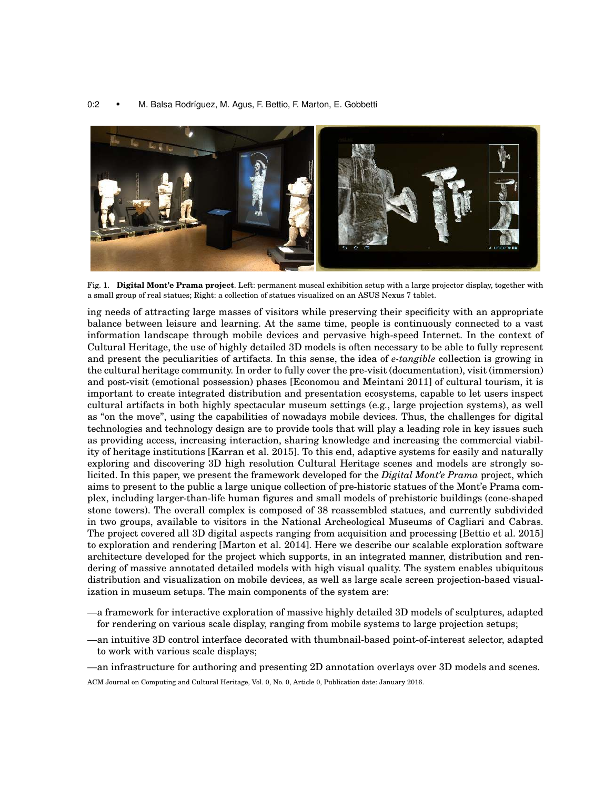#### 0:2 • M. Balsa Rodríguez, M. Agus, F. Bettio, F. Marton, E. Gobbetti



Fig. 1. **Digital Mont'e Prama project**. Left: permanent museal exhibition setup with a large projector display, together with a small group of real statues; Right: a collection of statues visualized on an ASUS Nexus 7 tablet.

ing needs of attracting large masses of visitors while preserving their specificity with an appropriate balance between leisure and learning. At the same time, people is continuously connected to a vast information landscape through mobile devices and pervasive high-speed Internet. In the context of Cultural Heritage, the use of highly detailed 3D models is often necessary to be able to fully represent and present the peculiarities of artifacts. In this sense, the idea of *e-tangible* collection is growing in the cultural heritage community. In order to fully cover the pre-visit (documentation), visit (immersion) and post-visit (emotional possession) phases [Economou and Meintani 2011] of cultural tourism, it is important to create integrated distribution and presentation ecosystems, capable to let users inspect cultural artifacts in both highly spectacular museum settings (e.g., large projection systems), as well as "on the move", using the capabilities of nowadays mobile devices. Thus, the challenges for digital technologies and technology design are to provide tools that will play a leading role in key issues such as providing access, increasing interaction, sharing knowledge and increasing the commercial viability of heritage institutions [Karran et al. 2015]. To this end, adaptive systems for easily and naturally exploring and discovering 3D high resolution Cultural Heritage scenes and models are strongly solicited. In this paper, we present the framework developed for the *Digital Mont'e Prama* project, which aims to present to the public a large unique collection of pre-historic statues of the Mont'e Prama complex, including larger-than-life human figures and small models of prehistoric buildings (cone-shaped stone towers). The overall complex is composed of 38 reassembled statues, and currently subdivided in two groups, available to visitors in the National Archeological Museums of Cagliari and Cabras. The project covered all 3D digital aspects ranging from acquisition and processing [Bettio et al. 2015] to exploration and rendering [Marton et al. 2014]. Here we describe our scalable exploration software architecture developed for the project which supports, in an integrated manner, distribution and rendering of massive annotated detailed models with high visual quality. The system enables ubiquitous distribution and visualization on mobile devices, as well as large scale screen projection-based visualization in museum setups. The main components of the system are:

- —a framework for interactive exploration of massive highly detailed 3D models of sculptures, adapted for rendering on various scale display, ranging from mobile systems to large projection setups;
- —an intuitive 3D control interface decorated with thumbnail-based point-of-interest selector, adapted to work with various scale displays;
- —an infrastructure for authoring and presenting 2D annotation overlays over 3D models and scenes.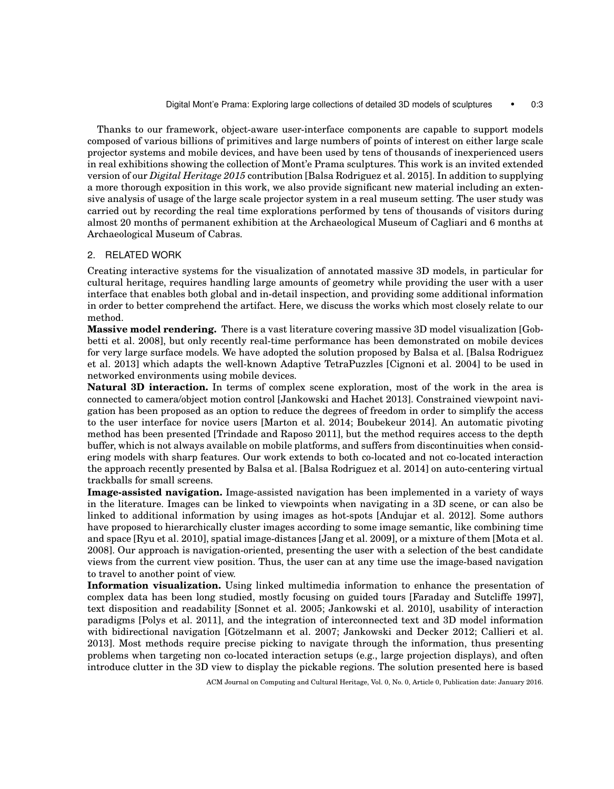Thanks to our framework, object-aware user-interface components are capable to support models composed of various billions of primitives and large numbers of points of interest on either large scale projector systems and mobile devices, and have been used by tens of thousands of inexperienced users in real exhibitions showing the collection of Mont'e Prama sculptures. This work is an invited extended version of our *Digital Heritage 2015* contribution [Balsa Rodriguez et al. 2015]. In addition to supplying a more thorough exposition in this work, we also provide significant new material including an extensive analysis of usage of the large scale projector system in a real museum setting. The user study was carried out by recording the real time explorations performed by tens of thousands of visitors during almost 20 months of permanent exhibition at the Archaeological Museum of Cagliari and 6 months at Archaeological Museum of Cabras.

# 2. RELATED WORK

Creating interactive systems for the visualization of annotated massive 3D models, in particular for cultural heritage, requires handling large amounts of geometry while providing the user with a user interface that enables both global and in-detail inspection, and providing some additional information in order to better comprehend the artifact. Here, we discuss the works which most closely relate to our method.

**Massive model rendering.** There is a vast literature covering massive 3D model visualization [Gobbetti et al. 2008], but only recently real-time performance has been demonstrated on mobile devices for very large surface models. We have adopted the solution proposed by Balsa et al. [Balsa Rodriguez et al. 2013] which adapts the well-known Adaptive TetraPuzzles [Cignoni et al. 2004] to be used in networked environments using mobile devices.

**Natural 3D interaction.** In terms of complex scene exploration, most of the work in the area is connected to camera/object motion control [Jankowski and Hachet 2013]. Constrained viewpoint navigation has been proposed as an option to reduce the degrees of freedom in order to simplify the access to the user interface for novice users [Marton et al. 2014; Boubekeur 2014]. An automatic pivoting method has been presented [Trindade and Raposo 2011], but the method requires access to the depth buffer, which is not always available on mobile platforms, and suffers from discontinuities when considering models with sharp features. Our work extends to both co-located and not co-located interaction the approach recently presented by Balsa et al. [Balsa Rodriguez et al. 2014] on auto-centering virtual trackballs for small screens.

**Image-assisted navigation.** Image-assisted navigation has been implemented in a variety of ways in the literature. Images can be linked to viewpoints when navigating in a 3D scene, or can also be linked to additional information by using images as hot-spots [Andujar et al. 2012]. Some authors have proposed to hierarchically cluster images according to some image semantic, like combining time and space [Ryu et al. 2010], spatial image-distances [Jang et al. 2009], or a mixture of them [Mota et al. 2008]. Our approach is navigation-oriented, presenting the user with a selection of the best candidate views from the current view position. Thus, the user can at any time use the image-based navigation to travel to another point of view.

**Information visualization.** Using linked multimedia information to enhance the presentation of complex data has been long studied, mostly focusing on guided tours [Faraday and Sutcliffe 1997], text disposition and readability [Sonnet et al. 2005; Jankowski et al. 2010], usability of interaction paradigms [Polys et al. 2011], and the integration of interconnected text and 3D model information with bidirectional navigation [Götzelmann et al. 2007; Jankowski and Decker 2012; Callieri et al. 2013]. Most methods require precise picking to navigate through the information, thus presenting problems when targeting non co-located interaction setups (e.g., large projection displays), and often introduce clutter in the 3D view to display the pickable regions. The solution presented here is based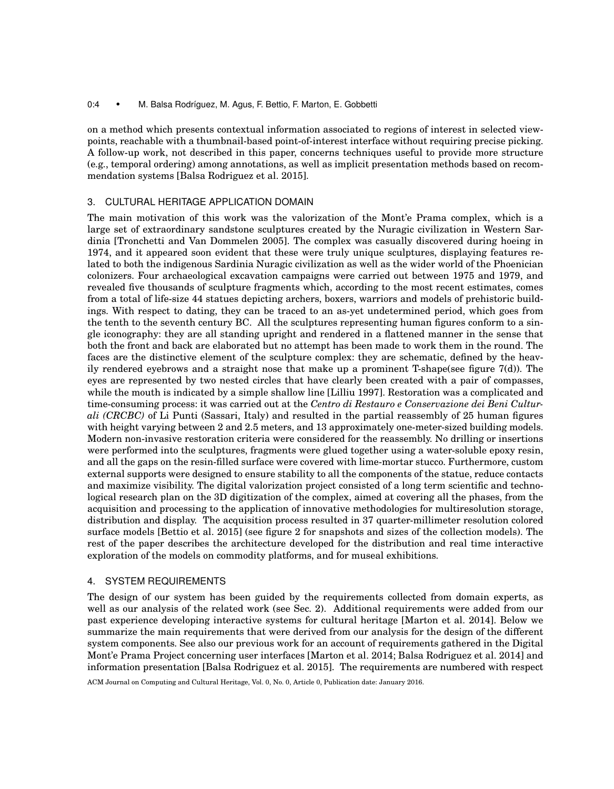#### 0:4 • M. Balsa Rodríguez, M. Agus, F. Bettio, F. Marton, E. Gobbetti

on a method which presents contextual information associated to regions of interest in selected viewpoints, reachable with a thumbnail-based point-of-interest interface without requiring precise picking. A follow-up work, not described in this paper, concerns techniques useful to provide more structure (e.g., temporal ordering) among annotations, as well as implicit presentation methods based on recommendation systems [Balsa Rodriguez et al. 2015].

# 3. CULTURAL HERITAGE APPLICATION DOMAIN

The main motivation of this work was the valorization of the Mont'e Prama complex, which is a large set of extraordinary sandstone sculptures created by the Nuragic civilization in Western Sardinia [Tronchetti and Van Dommelen 2005]. The complex was casually discovered during hoeing in 1974, and it appeared soon evident that these were truly unique sculptures, displaying features related to both the indigenous Sardinia Nuragic civilization as well as the wider world of the Phoenician colonizers. Four archaeological excavation campaigns were carried out between 1975 and 1979, and revealed five thousands of sculpture fragments which, according to the most recent estimates, comes from a total of life-size 44 statues depicting archers, boxers, warriors and models of prehistoric buildings. With respect to dating, they can be traced to an as-yet undetermined period, which goes from the tenth to the seventh century BC. All the sculptures representing human figures conform to a single iconography: they are all standing upright and rendered in a flattened manner in the sense that both the front and back are elaborated but no attempt has been made to work them in the round. The faces are the distinctive element of the sculpture complex: they are schematic, defined by the heavily rendered eyebrows and a straight nose that make up a prominent T-shape(see figure 7(d)). The eyes are represented by two nested circles that have clearly been created with a pair of compasses, while the mouth is indicated by a simple shallow line [Lilliu 1997]. Restoration was a complicated and time-consuming process: it was carried out at the *Centro di Restauro e Conservazione dei Beni Culturali (CRCBC)* of Li Punti (Sassari, Italy) and resulted in the partial reassembly of 25 human figures with height varying between 2 and 2.5 meters, and 13 approximately one-meter-sized building models. Modern non-invasive restoration criteria were considered for the reassembly. No drilling or insertions were performed into the sculptures, fragments were glued together using a water-soluble epoxy resin, and all the gaps on the resin-filled surface were covered with lime-mortar stucco. Furthermore, custom external supports were designed to ensure stability to all the components of the statue, reduce contacts and maximize visibility. The digital valorization project consisted of a long term scientific and technological research plan on the 3D digitization of the complex, aimed at covering all the phases, from the acquisition and processing to the application of innovative methodologies for multiresolution storage, distribution and display. The acquisition process resulted in 37 quarter-millimeter resolution colored surface models [Bettio et al. 2015] (see figure 2 for snapshots and sizes of the collection models). The rest of the paper describes the architecture developed for the distribution and real time interactive exploration of the models on commodity platforms, and for museal exhibitions.

# 4. SYSTEM REQUIREMENTS

The design of our system has been guided by the requirements collected from domain experts, as well as our analysis of the related work (see Sec. 2). Additional requirements were added from our past experience developing interactive systems for cultural heritage [Marton et al. 2014]. Below we summarize the main requirements that were derived from our analysis for the design of the different system components. See also our previous work for an account of requirements gathered in the Digital Mont'e Prama Project concerning user interfaces [Marton et al. 2014; Balsa Rodriguez et al. 2014] and information presentation [Balsa Rodriguez et al. 2015]. The requirements are numbered with respect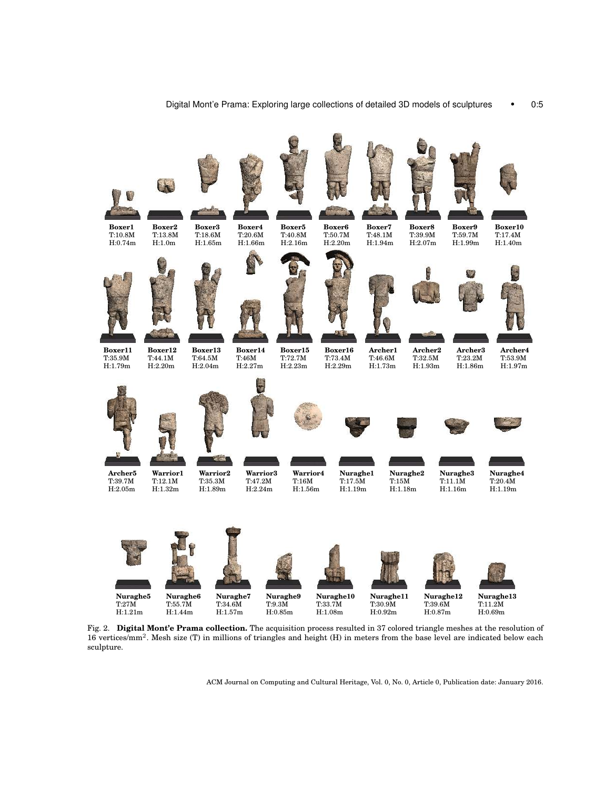

Fig. 2. **Digital Mont'e Prama collection.** The acquisition process resulted in 37 colored triangle meshes at the resolution of 16 vertices/mm<sup>2</sup>. Mesh size (T) in millions of triangles and height (H) in meters from the base level are indicated below each sculpture.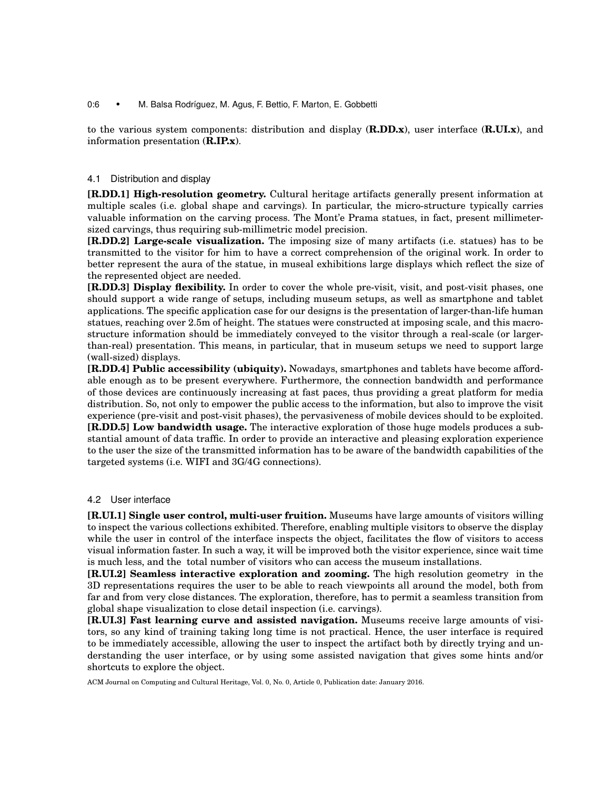## 0:6 • M. Balsa Rodríguez, M. Agus, F. Bettio, F. Marton, E. Gobbetti

to the various system components: distribution and display (**R.DD.x**), user interface (**R.UI.x**), and information presentation (**R.IP.x**).

## 4.1 Distribution and display

**[R.DD.1] High-resolution geometry.** Cultural heritage artifacts generally present information at multiple scales (i.e. global shape and carvings). In particular, the micro-structure typically carries valuable information on the carving process. The Mont'e Prama statues, in fact, present millimetersized carvings, thus requiring sub-millimetric model precision.

**[R.DD.2] Large-scale visualization.** The imposing size of many artifacts (i.e. statues) has to be transmitted to the visitor for him to have a correct comprehension of the original work. In order to better represent the aura of the statue, in museal exhibitions large displays which reflect the size of the represented object are needed.

**[R.DD.3] Display flexibility.** In order to cover the whole pre-visit, visit, and post-visit phases, one should support a wide range of setups, including museum setups, as well as smartphone and tablet applications. The specific application case for our designs is the presentation of larger-than-life human statues, reaching over 2.5m of height. The statues were constructed at imposing scale, and this macrostructure information should be immediately conveyed to the visitor through a real-scale (or largerthan-real) presentation. This means, in particular, that in museum setups we need to support large (wall-sized) displays.

**[R.DD.4] Public accessibility (ubiquity).** Nowadays, smartphones and tablets have become affordable enough as to be present everywhere. Furthermore, the connection bandwidth and performance of those devices are continuously increasing at fast paces, thus providing a great platform for media distribution. So, not only to empower the public access to the information, but also to improve the visit experience (pre-visit and post-visit phases), the pervasiveness of mobile devices should to be exploited. **[R.DD.5] Low bandwidth usage.** The interactive exploration of those huge models produces a substantial amount of data traffic. In order to provide an interactive and pleasing exploration experience

to the user the size of the transmitted information has to be aware of the bandwidth capabilities of the targeted systems (i.e. WIFI and 3G/4G connections).

# 4.2 User interface

**[R.UI.1] Single user control, multi-user fruition.** Museums have large amounts of visitors willing to inspect the various collections exhibited. Therefore, enabling multiple visitors to observe the display while the user in control of the interface inspects the object, facilitates the flow of visitors to access visual information faster. In such a way, it will be improved both the visitor experience, since wait time is much less, and the total number of visitors who can access the museum installations.

**[R.UI.2] Seamless interactive exploration and zooming.** The high resolution geometry in the 3D representations requires the user to be able to reach viewpoints all around the model, both from far and from very close distances. The exploration, therefore, has to permit a seamless transition from global shape visualization to close detail inspection (i.e. carvings).

**[R.UI.3] Fast learning curve and assisted navigation.** Museums receive large amounts of visitors, so any kind of training taking long time is not practical. Hence, the user interface is required to be immediately accessible, allowing the user to inspect the artifact both by directly trying and understanding the user interface, or by using some assisted navigation that gives some hints and/or shortcuts to explore the object.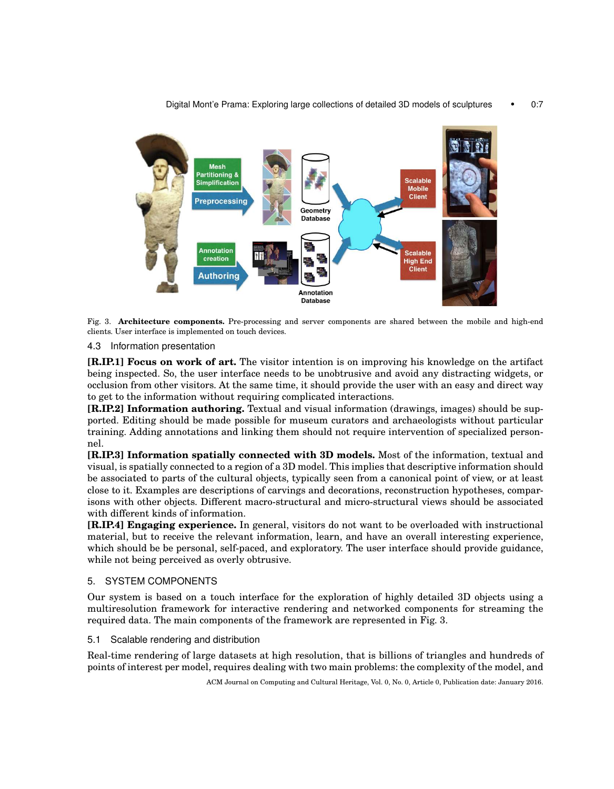

Fig. 3. **Architecture components.** Pre-processing and server components are shared between the mobile and high-end clients. User interface is implemented on touch devices.

# 4.3 Information presentation

**[R.IP.1] Focus on work of art.** The visitor intention is on improving his knowledge on the artifact being inspected. So, the user interface needs to be unobtrusive and avoid any distracting widgets, or occlusion from other visitors. At the same time, it should provide the user with an easy and direct way to get to the information without requiring complicated interactions.

**[R.IP.2] Information authoring.** Textual and visual information (drawings, images) should be supported. Editing should be made possible for museum curators and archaeologists without particular training. Adding annotations and linking them should not require intervention of specialized personnel.

**[R.IP.3] Information spatially connected with 3D models.** Most of the information, textual and visual, is spatially connected to a region of a 3D model. This implies that descriptive information should be associated to parts of the cultural objects, typically seen from a canonical point of view, or at least close to it. Examples are descriptions of carvings and decorations, reconstruction hypotheses, comparisons with other objects. Different macro-structural and micro-structural views should be associated with different kinds of information.

**[R.IP.4] Engaging experience.** In general, visitors do not want to be overloaded with instructional material, but to receive the relevant information, learn, and have an overall interesting experience, which should be be personal, self-paced, and exploratory. The user interface should provide guidance, while not being perceived as overly obtrusive.

# 5. SYSTEM COMPONENTS

Our system is based on a touch interface for the exploration of highly detailed 3D objects using a multiresolution framework for interactive rendering and networked components for streaming the required data. The main components of the framework are represented in Fig. 3.

5.1 Scalable rendering and distribution

Real-time rendering of large datasets at high resolution, that is billions of triangles and hundreds of points of interest per model, requires dealing with two main problems: the complexity of the model, and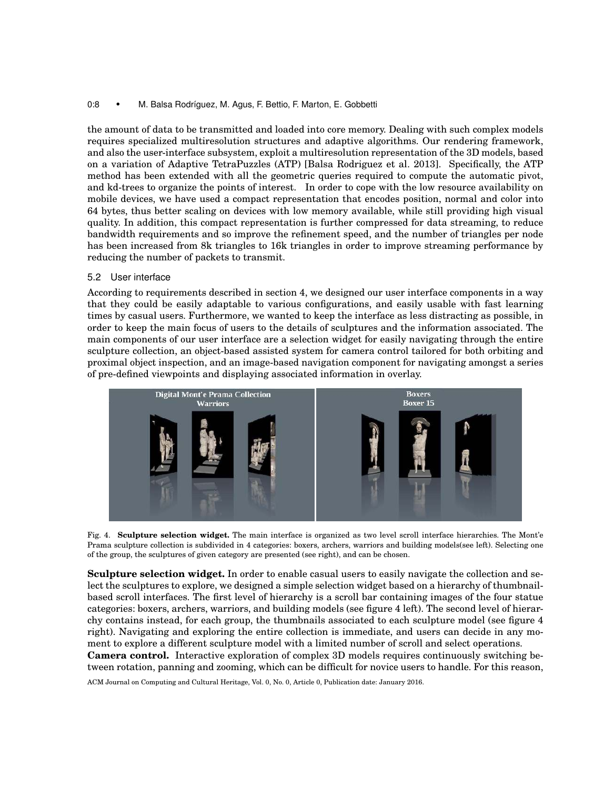## 0:8 • M. Balsa Rodríguez, M. Agus, F. Bettio, F. Marton, E. Gobbetti

the amount of data to be transmitted and loaded into core memory. Dealing with such complex models requires specialized multiresolution structures and adaptive algorithms. Our rendering framework, and also the user-interface subsystem, exploit a multiresolution representation of the 3D models, based on a variation of Adaptive TetraPuzzles (ATP) [Balsa Rodriguez et al. 2013]. Specifically, the ATP method has been extended with all the geometric queries required to compute the automatic pivot, and kd-trees to organize the points of interest. In order to cope with the low resource availability on mobile devices, we have used a compact representation that encodes position, normal and color into 64 bytes, thus better scaling on devices with low memory available, while still providing high visual quality. In addition, this compact representation is further compressed for data streaming, to reduce bandwidth requirements and so improve the refinement speed, and the number of triangles per node has been increased from 8k triangles to 16k triangles in order to improve streaming performance by reducing the number of packets to transmit.

## 5.2 User interface

According to requirements described in section 4, we designed our user interface components in a way that they could be easily adaptable to various configurations, and easily usable with fast learning times by casual users. Furthermore, we wanted to keep the interface as less distracting as possible, in order to keep the main focus of users to the details of sculptures and the information associated. The main components of our user interface are a selection widget for easily navigating through the entire sculpture collection, an object-based assisted system for camera control tailored for both orbiting and proximal object inspection, and an image-based navigation component for navigating amongst a series of pre-defined viewpoints and displaying associated information in overlay.



Fig. 4. **Sculpture selection widget.** The main interface is organized as two level scroll interface hierarchies. The Mont'e Prama sculpture collection is subdivided in 4 categories: boxers, archers, warriors and building models(see left). Selecting one of the group, the sculptures of given category are presented (see right), and can be chosen.

**Sculpture selection widget.** In order to enable casual users to easily navigate the collection and select the sculptures to explore, we designed a simple selection widget based on a hierarchy of thumbnailbased scroll interfaces. The first level of hierarchy is a scroll bar containing images of the four statue categories: boxers, archers, warriors, and building models (see figure 4 left). The second level of hierarchy contains instead, for each group, the thumbnails associated to each sculpture model (see figure 4 right). Navigating and exploring the entire collection is immediate, and users can decide in any moment to explore a different sculpture model with a limited number of scroll and select operations. **Camera control.** Interactive exploration of complex 3D models requires continuously switching between rotation, panning and zooming, which can be difficult for novice users to handle. For this reason,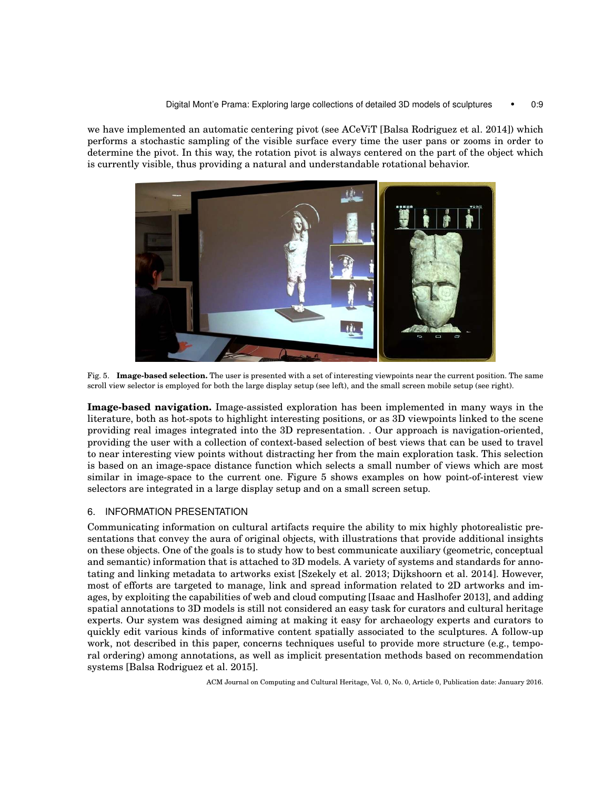we have implemented an automatic centering pivot (see ACeViT [Balsa Rodriguez et al. 2014]) which performs a stochastic sampling of the visible surface every time the user pans or zooms in order to determine the pivot. In this way, the rotation pivot is always centered on the part of the object which is currently visible, thus providing a natural and understandable rotational behavior.



Fig. 5. **Image-based selection.** The user is presented with a set of interesting viewpoints near the current position. The same scroll view selector is employed for both the large display setup (see left), and the small screen mobile setup (see right).

**Image-based navigation.** Image-assisted exploration has been implemented in many ways in the literature, both as hot-spots to highlight interesting positions, or as 3D viewpoints linked to the scene providing real images integrated into the 3D representation. . Our approach is navigation-oriented, providing the user with a collection of context-based selection of best views that can be used to travel to near interesting view points without distracting her from the main exploration task. This selection is based on an image-space distance function which selects a small number of views which are most similar in image-space to the current one. Figure 5 shows examples on how point-of-interest view selectors are integrated in a large display setup and on a small screen setup.

# 6. INFORMATION PRESENTATION

Communicating information on cultural artifacts require the ability to mix highly photorealistic presentations that convey the aura of original objects, with illustrations that provide additional insights on these objects. One of the goals is to study how to best communicate auxiliary (geometric, conceptual and semantic) information that is attached to 3D models. A variety of systems and standards for annotating and linking metadata to artworks exist [Szekely et al. 2013; Dijkshoorn et al. 2014]. However, most of efforts are targeted to manage, link and spread information related to 2D artworks and images, by exploiting the capabilities of web and cloud computing [Isaac and Haslhofer 2013], and adding spatial annotations to 3D models is still not considered an easy task for curators and cultural heritage experts. Our system was designed aiming at making it easy for archaeology experts and curators to quickly edit various kinds of informative content spatially associated to the sculptures. A follow-up work, not described in this paper, concerns techniques useful to provide more structure (e.g., temporal ordering) among annotations, as well as implicit presentation methods based on recommendation systems [Balsa Rodriguez et al. 2015].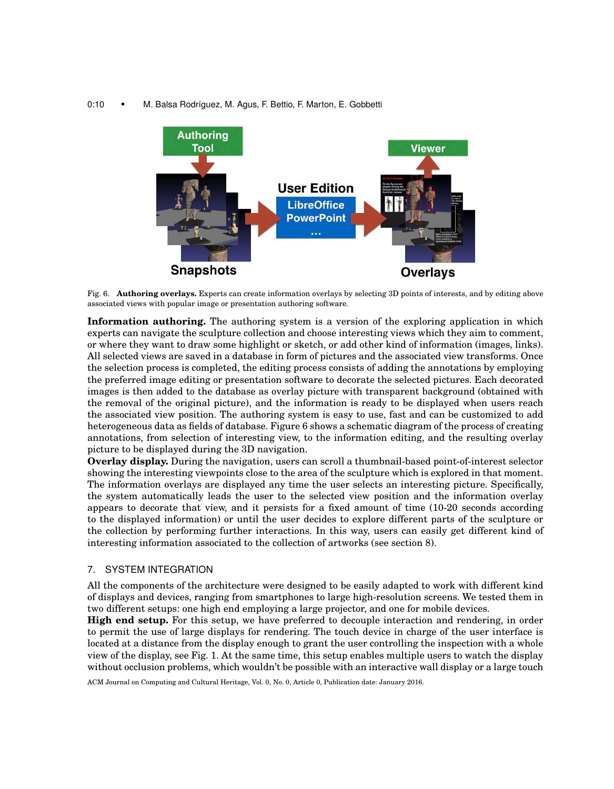## 0:10 • M. Balsa Rodríguez, M. Agus, F. Bettio, F. Marton, E. Gobbetti



Fig. 6. **Authoring overlays.** Experts can create information overlays by selecting 3D points of interests, and by editing above associated views with popular image or presentation authoring software.

**Information authoring.** The authoring system is a version of the exploring application in which experts can navigate the sculpture collection and choose interesting views which they aim to comment, or where they want to draw some highlight or sketch, or add other kind of information (images, links). All selected views are saved in a database in form of pictures and the associated view transforms. Once the selection process is completed, the editing process consists of adding the annotations by employing the preferred image editing or presentation software to decorate the selected pictures. Each decorated images is then added to the database as overlay picture with transparent background (obtained with the removal of the original picture), and the information is ready to be displayed when users reach the associated view position. The authoring system is easy to use, fast and can be customized to add heterogeneous data as fields of database. Figure 6 shows a schematic diagram of the process of creating annotations, from selection of interesting view, to the information editing, and the resulting overlay picture to be displayed during the 3D navigation.

**Overlay display.** During the navigation, users can scroll a thumbnail-based point-of-interest selector showing the interesting viewpoints close to the area of the sculpture which is explored in that moment. The information overlays are displayed any time the user selects an interesting picture. Specifically, the system automatically leads the user to the selected view position and the information overlay appears to decorate that view, and it persists for a fixed amount of time (10-20 seconds according to the displayed information) or until the user decides to explore different parts of the sculpture or the collection by performing further interactions. In this way, users can easily get different kind of interesting information associated to the collection of artworks (see section 8).

#### 7. SYSTEM INTEGRATION

All the components of the architecture were designed to be easily adapted to work with different kind of displays and devices, ranging from smartphones to large high-resolution screens. We tested them in two different setups: one high end employing a large projector, and one for mobile devices.

**High end setup.** For this setup, we have preferred to decouple interaction and rendering, in order to permit the use of large displays for rendering. The touch device in charge of the user interface is located at a distance from the display enough to grant the user controlling the inspection with a whole view of the display, see Fig. 1. At the same time, this setup enables multiple users to watch the display without occlusion problems, which wouldn't be possible with an interactive wall display or a large touch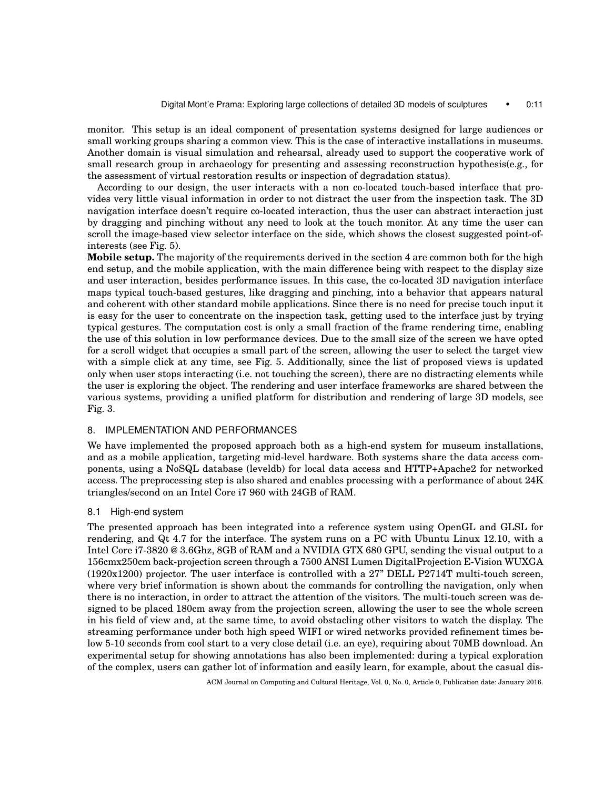monitor. This setup is an ideal component of presentation systems designed for large audiences or small working groups sharing a common view. This is the case of interactive installations in museums. Another domain is visual simulation and rehearsal, already used to support the cooperative work of small research group in archaeology for presenting and assessing reconstruction hypothesis(e.g., for the assessment of virtual restoration results or inspection of degradation status).

According to our design, the user interacts with a non co-located touch-based interface that provides very little visual information in order to not distract the user from the inspection task. The 3D navigation interface doesn't require co-located interaction, thus the user can abstract interaction just by dragging and pinching without any need to look at the touch monitor. At any time the user can scroll the image-based view selector interface on the side, which shows the closest suggested point-ofinterests (see Fig. 5).

**Mobile setup.** The majority of the requirements derived in the section 4 are common both for the high end setup, and the mobile application, with the main difference being with respect to the display size and user interaction, besides performance issues. In this case, the co-located 3D navigation interface maps typical touch-based gestures, like dragging and pinching, into a behavior that appears natural and coherent with other standard mobile applications. Since there is no need for precise touch input it is easy for the user to concentrate on the inspection task, getting used to the interface just by trying typical gestures. The computation cost is only a small fraction of the frame rendering time, enabling the use of this solution in low performance devices. Due to the small size of the screen we have opted for a scroll widget that occupies a small part of the screen, allowing the user to select the target view with a simple click at any time, see Fig. 5. Additionally, since the list of proposed views is updated only when user stops interacting (i.e. not touching the screen), there are no distracting elements while the user is exploring the object. The rendering and user interface frameworks are shared between the various systems, providing a unified platform for distribution and rendering of large 3D models, see Fig. 3.

# 8. IMPLEMENTATION AND PERFORMANCES

We have implemented the proposed approach both as a high-end system for museum installations, and as a mobile application, targeting mid-level hardware. Both systems share the data access components, using a NoSQL database (leveldb) for local data access and HTTP+Apache2 for networked access. The preprocessing step is also shared and enables processing with a performance of about 24K triangles/second on an Intel Core i7 960 with 24GB of RAM.

#### 8.1 High-end system

The presented approach has been integrated into a reference system using OpenGL and GLSL for rendering, and Qt 4.7 for the interface. The system runs on a PC with Ubuntu Linux 12.10, with a Intel Core i7-3820 @ 3.6Ghz, 8GB of RAM and a NVIDIA GTX 680 GPU, sending the visual output to a 156cmx250cm back-projection screen through a 7500 ANSI Lumen DigitalProjection E-Vision WUXGA (1920x1200) projector. The user interface is controlled with a 27" DELL P2714T multi-touch screen, where very brief information is shown about the commands for controlling the navigation, only when there is no interaction, in order to attract the attention of the visitors. The multi-touch screen was designed to be placed 180cm away from the projection screen, allowing the user to see the whole screen in his field of view and, at the same time, to avoid obstacling other visitors to watch the display. The streaming performance under both high speed WIFI or wired networks provided refinement times below 5-10 seconds from cool start to a very close detail (i.e. an eye), requiring about 70MB download. An experimental setup for showing annotations has also been implemented: during a typical exploration of the complex, users can gather lot of information and easily learn, for example, about the casual dis-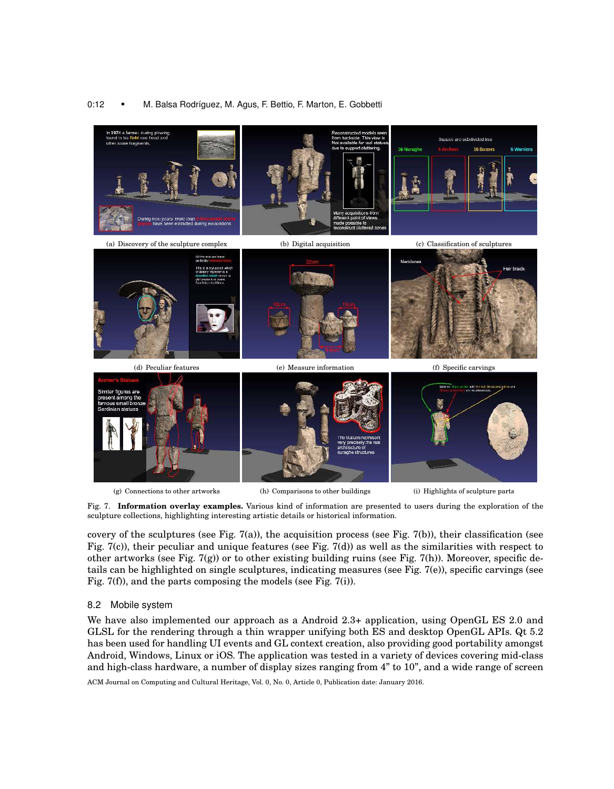# 0:12 • M. Balsa Rodríguez, M. Agus, F. Bettio, F. Marton, E. Gobbetti



Fig. 7. **Information overlay examples.** Various kind of information are presented to users during the exploration of the sculpture collections, highlighting interesting artistic details or historical information.

covery of the sculptures (see Fig. 7(a)), the acquisition process (see Fig. 7(b)), their classification (see Fig. 7(c)), their peculiar and unique features (see Fig. 7(d)) as well as the similarities with respect to other artworks (see Fig. 7(g)) or to other existing building ruins (see Fig. 7(h)). Moreover, specific details can be highlighted on single sculptures, indicating measures (see Fig. 7(e)), specific carvings (see Fig. 7(f)), and the parts composing the models (see Fig. 7(i)).

# 8.2 Mobile system

We have also implemented our approach as a Android 2.3+ application, using OpenGL ES 2.0 and GLSL for the rendering through a thin wrapper unifying both ES and desktop OpenGL APIs. Qt 5.2 has been used for handling UI events and GL context creation, also providing good portability amongst Android, Windows, Linux or iOS. The application was tested in a variety of devices covering mid-class and high-class hardware, a number of display sizes ranging from 4" to 10", and a wide range of screen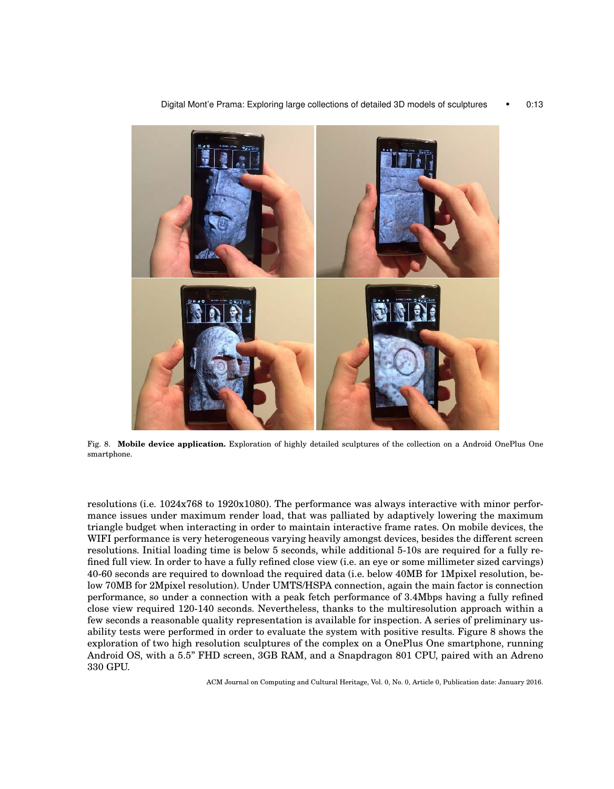

Digital Mont'e Prama: Exploring large collections of detailed 3D models of sculptures • 0:13

Fig. 8. **Mobile device application.** Exploration of highly detailed sculptures of the collection on a Android OnePlus One smartphone.

resolutions (i.e. 1024x768 to 1920x1080). The performance was always interactive with minor performance issues under maximum render load, that was palliated by adaptively lowering the maximum triangle budget when interacting in order to maintain interactive frame rates. On mobile devices, the WIFI performance is very heterogeneous varying heavily amongst devices, besides the different screen resolutions. Initial loading time is below 5 seconds, while additional 5-10s are required for a fully refined full view. In order to have a fully refined close view (i.e. an eye or some millimeter sized carvings) 40-60 seconds are required to download the required data (i.e. below 40MB for 1Mpixel resolution, below 70MB for 2Mpixel resolution). Under UMTS/HSPA connection, again the main factor is connection performance, so under a connection with a peak fetch performance of 3.4Mbps having a fully refined close view required 120-140 seconds. Nevertheless, thanks to the multiresolution approach within a few seconds a reasonable quality representation is available for inspection. A series of preliminary usability tests were performed in order to evaluate the system with positive results. Figure 8 shows the exploration of two high resolution sculptures of the complex on a OnePlus One smartphone, running Android OS, with a 5.5" FHD screen, 3GB RAM, and a Snapdragon 801 CPU, paired with an Adreno 330 GPU.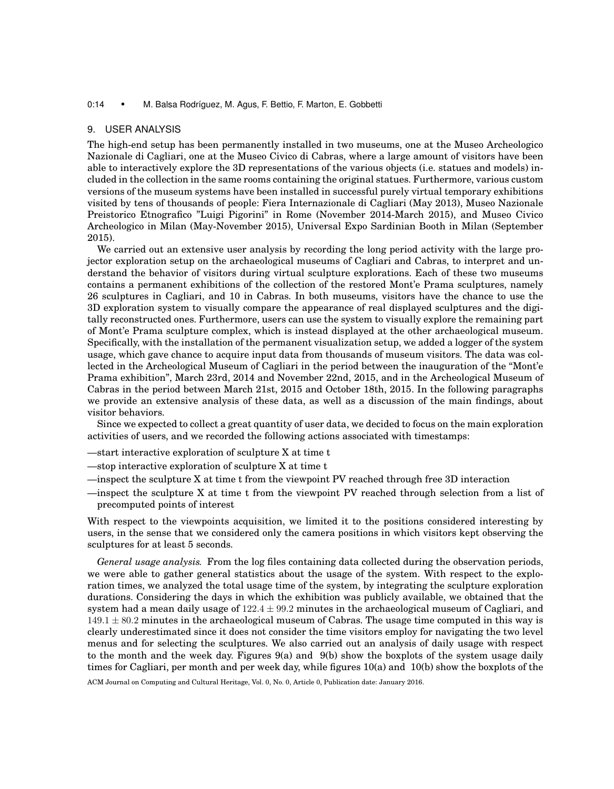#### 0:14 • M. Balsa Rodríguez, M. Agus, F. Bettio, F. Marton, E. Gobbetti

#### 9. USER ANALYSIS

The high-end setup has been permanently installed in two museums, one at the Museo Archeologico Nazionale di Cagliari, one at the Museo Civico di Cabras, where a large amount of visitors have been able to interactively explore the 3D representations of the various objects (i.e. statues and models) included in the collection in the same rooms containing the original statues. Furthermore, various custom versions of the museum systems have been installed in successful purely virtual temporary exhibitions visited by tens of thousands of people: Fiera Internazionale di Cagliari (May 2013), Museo Nazionale Preistorico Etnografico "Luigi Pigorini" in Rome (November 2014-March 2015), and Museo Civico Archeologico in Milan (May-November 2015), Universal Expo Sardinian Booth in Milan (September 2015).

We carried out an extensive user analysis by recording the long period activity with the large projector exploration setup on the archaeological museums of Cagliari and Cabras, to interpret and understand the behavior of visitors during virtual sculpture explorations. Each of these two museums contains a permanent exhibitions of the collection of the restored Mont'e Prama sculptures, namely 26 sculptures in Cagliari, and 10 in Cabras. In both museums, visitors have the chance to use the 3D exploration system to visually compare the appearance of real displayed sculptures and the digitally reconstructed ones. Furthermore, users can use the system to visually explore the remaining part of Mont'e Prama sculpture complex, which is instead displayed at the other archaeological museum. Specifically, with the installation of the permanent visualization setup, we added a logger of the system usage, which gave chance to acquire input data from thousands of museum visitors. The data was collected in the Archeological Museum of Cagliari in the period between the inauguration of the "Mont'e Prama exhibition", March 23rd, 2014 and November 22nd, 2015, and in the Archeological Museum of Cabras in the period between March 21st, 2015 and October 18th, 2015. In the following paragraphs we provide an extensive analysis of these data, as well as a discussion of the main findings, about visitor behaviors.

Since we expected to collect a great quantity of user data, we decided to focus on the main exploration activities of users, and we recorded the following actions associated with timestamps:

- —start interactive exploration of sculpture X at time t
- —stop interactive exploration of sculpture X at time t
- —inspect the sculpture X at time t from the viewpoint PV reached through free 3D interaction
- —inspect the sculpture X at time t from the viewpoint PV reached through selection from a list of precomputed points of interest

With respect to the viewpoints acquisition, we limited it to the positions considered interesting by users, in the sense that we considered only the camera positions in which visitors kept observing the sculptures for at least 5 seconds.

*General usage analysis.* From the log files containing data collected during the observation periods, we were able to gather general statistics about the usage of the system. With respect to the exploration times, we analyzed the total usage time of the system, by integrating the sculpture exploration durations. Considering the days in which the exhibition was publicly available, we obtained that the system had a mean daily usage of  $122.4 \pm 99.2$  minutes in the archaeological museum of Cagliari, and  $149.1 \pm 80.2$  minutes in the archaeological museum of Cabras. The usage time computed in this way is clearly underestimated since it does not consider the time visitors employ for navigating the two level menus and for selecting the sculptures. We also carried out an analysis of daily usage with respect to the month and the week day. Figures 9(a) and 9(b) show the boxplots of the system usage daily times for Cagliari, per month and per week day, while figures 10(a) and 10(b) show the boxplots of the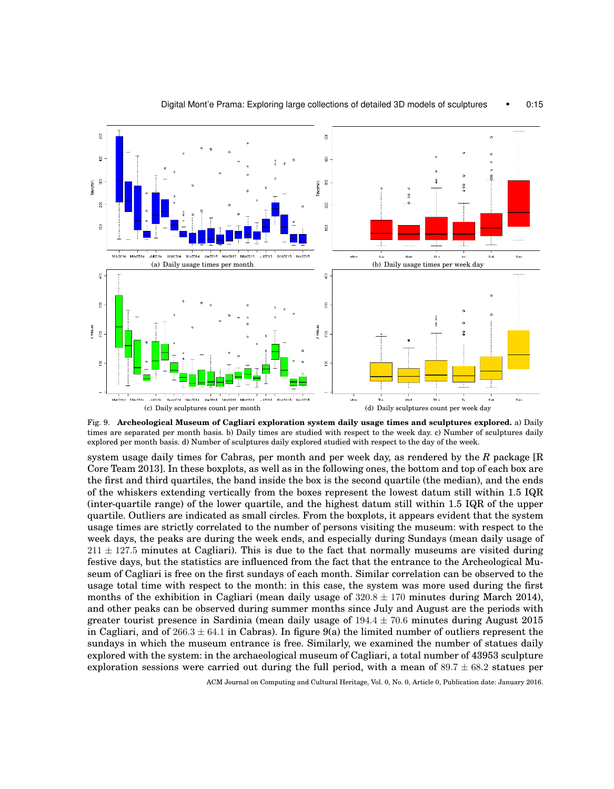

Fig. 9. **Archeological Museum of Cagliari exploration system daily usage times and sculptures explored.** a) Daily times are separated per month basis. b) Daily times are studied with respect to the week day. c) Number of sculptures daily explored per month basis. d) Number of sculptures daily explored studied with respect to the day of the week.

system usage daily times for Cabras, per month and per week day, as rendered by the *R* package [R Core Team 2013]. In these boxplots, as well as in the following ones, the bottom and top of each box are the first and third quartiles, the band inside the box is the second quartile (the median), and the ends of the whiskers extending vertically from the boxes represent the lowest datum still within 1.5 IQR (inter-quartile range) of the lower quartile, and the highest datum still within 1.5 IQR of the upper quartile. Outliers are indicated as small circles. From the boxplots, it appears evident that the system usage times are strictly correlated to the number of persons visiting the museum: with respect to the week days, the peaks are during the week ends, and especially during Sundays (mean daily usage of  $211 \pm 127.5$  minutes at Cagliari). This is due to the fact that normally museums are visited during festive days, but the statistics are influenced from the fact that the entrance to the Archeological Museum of Cagliari is free on the first sundays of each month. Similar correlation can be observed to the usage total time with respect to the month: in this case, the system was more used during the first months of the exhibition in Cagliari (mean daily usage of  $320.8 \pm 170$  minutes during March 2014), and other peaks can be observed during summer months since July and August are the periods with greater tourist presence in Sardinia (mean daily usage of  $194.4 \pm 70.6$  minutes during August 2015 in Cagliari, and of  $266.3 \pm 64.1$  in Cabras). In figure 9(a) the limited number of outliers represent the sundays in which the museum entrance is free. Similarly, we examined the number of statues daily explored with the system: in the archaeological museum of Cagliari, a total number of 43953 sculpture exploration sessions were carried out during the full period, with a mean of  $89.7 \pm 68.2$  statues per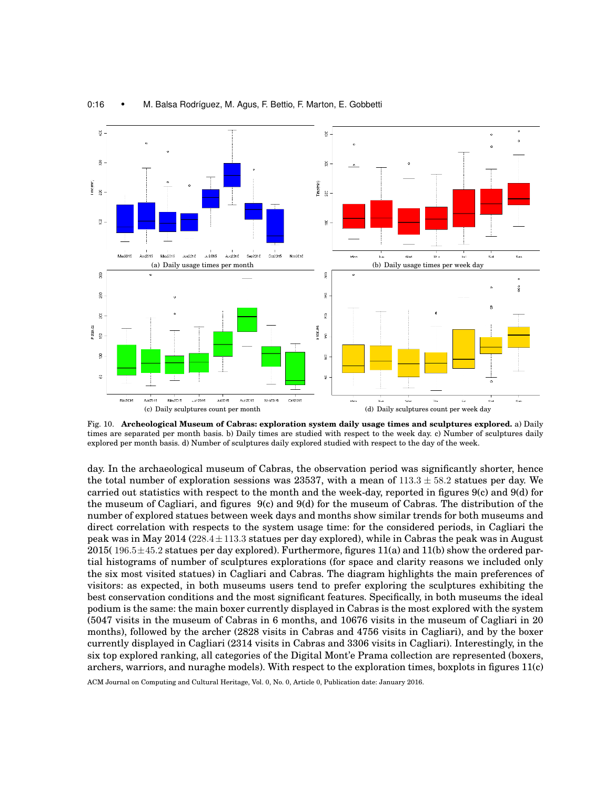

#### 0:16 • M. Balsa Rodríguez, M. Agus, F. Bettio, F. Marton, E. Gobbetti

Fig. 10. **Archeological Museum of Cabras: exploration system daily usage times and sculptures explored.** a) Daily times are separated per month basis. b) Daily times are studied with respect to the week day. c) Number of sculptures daily explored per month basis. d) Number of sculptures daily explored studied with respect to the day of the week.

day. In the archaeological museum of Cabras, the observation period was significantly shorter, hence the total number of exploration sessions was 23537, with a mean of  $113.3 \pm 58.2$  statues per day. We carried out statistics with respect to the month and the week-day, reported in figures 9(c) and 9(d) for the museum of Cagliari, and figures  $9(c)$  and  $9(d)$  for the museum of Cabras. The distribution of the number of explored statues between week days and months show similar trends for both museums and direct correlation with respects to the system usage time: for the considered periods, in Cagliari the peak was in May  $2014$  ( $228.4 \pm 113.3$  statues per day explored), while in Cabras the peak was in August 2015( $196.5 \pm 45.2$  statues per day explored). Furthermore, figures 11(a) and 11(b) show the ordered partial histograms of number of sculptures explorations (for space and clarity reasons we included only the six most visited statues) in Cagliari and Cabras. The diagram highlights the main preferences of visitors: as expected, in both museums users tend to prefer exploring the sculptures exhibiting the best conservation conditions and the most significant features. Specifically, in both museums the ideal podium is the same: the main boxer currently displayed in Cabras is the most explored with the system (5047 visits in the museum of Cabras in 6 months, and 10676 visits in the museum of Cagliari in 20 months), followed by the archer (2828 visits in Cabras and 4756 visits in Cagliari), and by the boxer currently displayed in Cagliari (2314 visits in Cabras and 3306 visits in Cagliari). Interestingly, in the six top explored ranking, all categories of the Digital Mont'e Prama collection are represented (boxers, archers, warriors, and nuraghe models). With respect to the exploration times, boxplots in figures 11(c)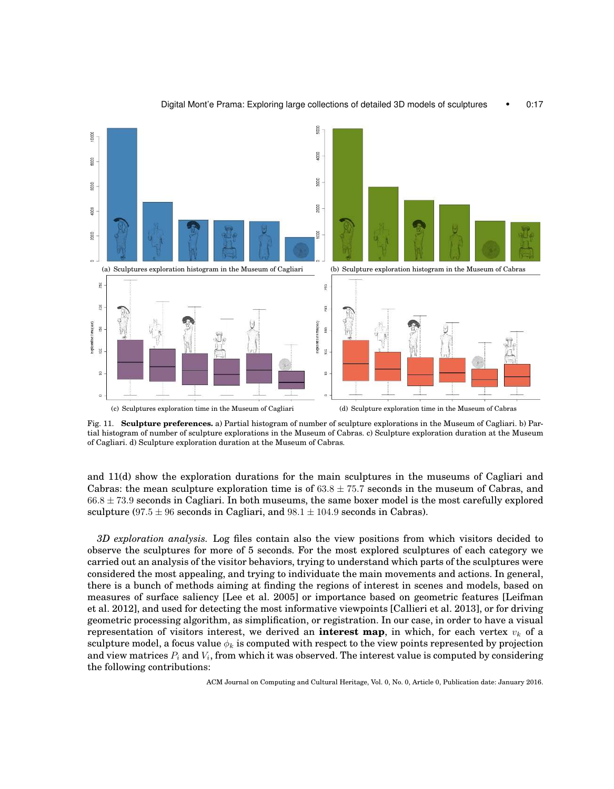

#### Digital Mont'e Prama: Exploring large collections of detailed 3D models of sculptures • 0:17

Fig. 11. **Sculpture preferences.** a) Partial histogram of number of sculpture explorations in the Museum of Cagliari. b) Partial histogram of number of sculpture explorations in the Museum of Cabras. c) Sculpture exploration duration at the Museum of Cagliari. d) Sculpture exploration duration at the Museum of Cabras.

and 11(d) show the exploration durations for the main sculptures in the museums of Cagliari and Cabras: the mean sculpture exploration time is of  $63.8 \pm 75.7$  seconds in the museum of Cabras, and  $66.8 \pm 73.9$  seconds in Cagliari. In both museums, the same boxer model is the most carefully explored sculpture (97.5  $\pm$  96 seconds in Cagliari, and 98.1  $\pm$  104.9 seconds in Cabras).

*3D exploration analysis.* Log files contain also the view positions from which visitors decided to observe the sculptures for more of 5 seconds. For the most explored sculptures of each category we carried out an analysis of the visitor behaviors, trying to understand which parts of the sculptures were considered the most appealing, and trying to individuate the main movements and actions. In general, there is a bunch of methods aiming at finding the regions of interest in scenes and models, based on measures of surface saliency [Lee et al. 2005] or importance based on geometric features [Leifman et al. 2012], and used for detecting the most informative viewpoints [Callieri et al. 2013], or for driving geometric processing algorithm, as simplification, or registration. In our case, in order to have a visual representation of visitors interest, we derived an **interest map**, in which, for each vertex  $v_k$  of a sculpture model, a focus value  $\phi_k$  is computed with respect to the view points represented by projection and view matrices  $P_i$  and  $V_i,$  from which it was observed. The interest value is computed by considering the following contributions: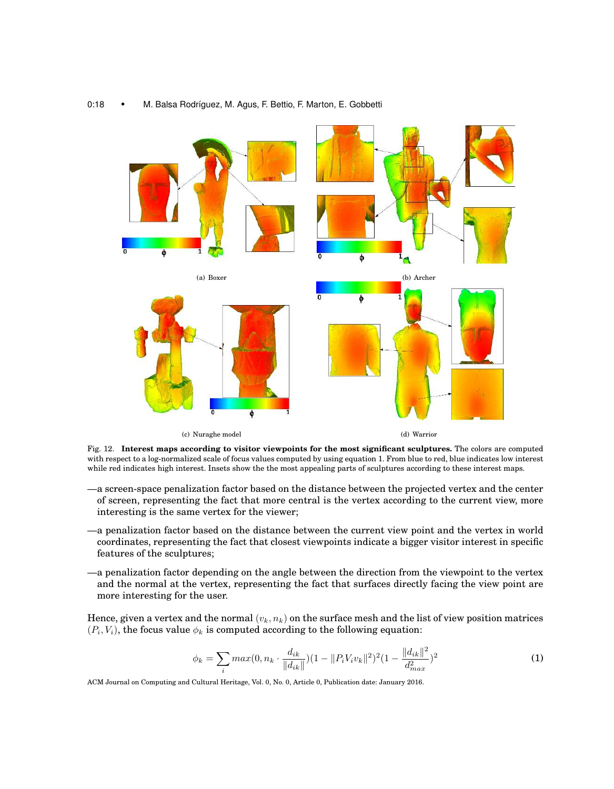

#### 0:18 • M. Balsa Rodríguez, M. Agus, F. Bettio, F. Marton, E. Gobbetti

Fig. 12. **Interest maps according to visitor viewpoints for the most significant sculptures.** The colors are computed with respect to a log-normalized scale of focus values computed by using equation 1. From blue to red, blue indicates low interest while red indicates high interest. Insets show the the most appealing parts of sculptures according to these interest maps.

- —a screen-space penalization factor based on the distance between the projected vertex and the center of screen, representing the fact that more central is the vertex according to the current view, more interesting is the same vertex for the viewer;
- —a penalization factor based on the distance between the current view point and the vertex in world coordinates, representing the fact that closest viewpoints indicate a bigger visitor interest in specific features of the sculptures;
- —a penalization factor depending on the angle between the direction from the viewpoint to the vertex and the normal at the vertex, representing the fact that surfaces directly facing the view point are more interesting for the user.

Hence, given a vertex and the normal  $(v_k, n_k)$  on the surface mesh and the list of view position matrices  $(P_i, V_i)$ , the focus value  $\phi_k$  is computed according to the following equation:

$$
\phi_k = \sum_i \max(0, n_k \cdot \frac{d_{ik}}{\|d_{ik}\|})(1 - \|P_i V_i v_k\|^2)^2 (1 - \frac{\|d_{ik}\|^2}{d_{max}^2})^2
$$
\n(1)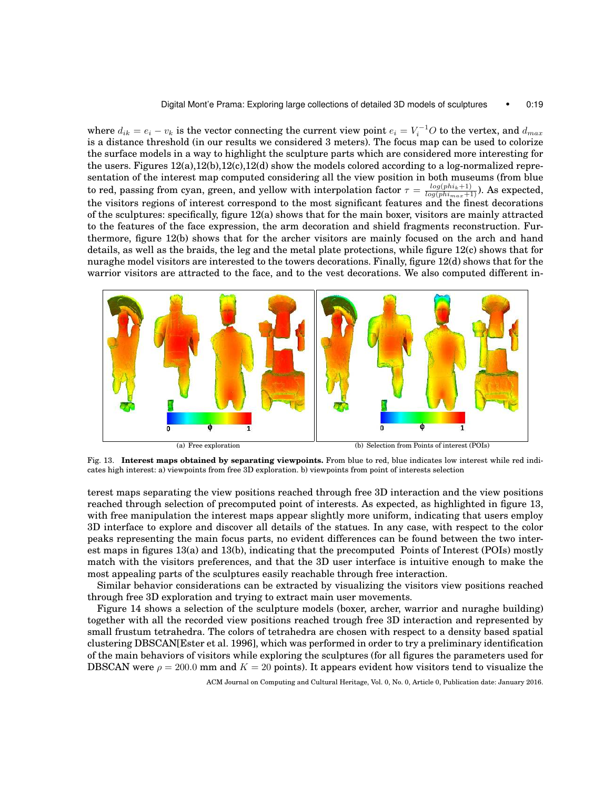where  $d_{ik} = e_i - v_k$  is the vector connecting the current view point  $e_i = V_i^{-1}O$  to the vertex, and  $d_{max}$ is a distance threshold (in our results we considered 3 meters). The focus map can be used to colorize the surface models in a way to highlight the sculpture parts which are considered more interesting for the users. Figures 12(a),12(b),12(c),12(d) show the models colored according to a log-normalized representation of the interest map computed considering all the view position in both museums (from blue to red, passing from cyan, green, and yellow with interpolation factor  $\tau = \frac{log(phi_k+1)}{log(phi_{max}+1)}$ ). As expected, the visitors regions of interest correspond to the most significant features and the finest decorations of the sculptures: specifically, figure 12(a) shows that for the main boxer, visitors are mainly attracted to the features of the face expression, the arm decoration and shield fragments reconstruction. Furthermore, figure 12(b) shows that for the archer visitors are mainly focused on the arch and hand details, as well as the braids, the leg and the metal plate protections, while figure 12(c) shows that for nuraghe model visitors are interested to the towers decorations. Finally, figure 12(d) shows that for the warrior visitors are attracted to the face, and to the vest decorations. We also computed different in-



Fig. 13. **Interest maps obtained by separating viewpoints.** From blue to red, blue indicates low interest while red indicates high interest: a) viewpoints from free 3D exploration. b) viewpoints from point of interests selection

terest maps separating the view positions reached through free 3D interaction and the view positions reached through selection of precomputed point of interests. As expected, as highlighted in figure 13, with free manipulation the interest maps appear slightly more uniform, indicating that users employ 3D interface to explore and discover all details of the statues. In any case, with respect to the color peaks representing the main focus parts, no evident differences can be found between the two interest maps in figures 13(a) and 13(b), indicating that the precomputed Points of Interest (POIs) mostly match with the visitors preferences, and that the 3D user interface is intuitive enough to make the most appealing parts of the sculptures easily reachable through free interaction.

Similar behavior considerations can be extracted by visualizing the visitors view positions reached through free 3D exploration and trying to extract main user movements.

Figure 14 shows a selection of the sculpture models (boxer, archer, warrior and nuraghe building) together with all the recorded view positions reached trough free 3D interaction and represented by small frustum tetrahedra. The colors of tetrahedra are chosen with respect to a density based spatial clustering DBSCAN[Ester et al. 1996], which was performed in order to try a preliminary identification of the main behaviors of visitors while exploring the sculptures (for all figures the parameters used for DBSCAN were  $\rho = 200.0$  mm and  $K = 20$  points). It appears evident how visitors tend to visualize the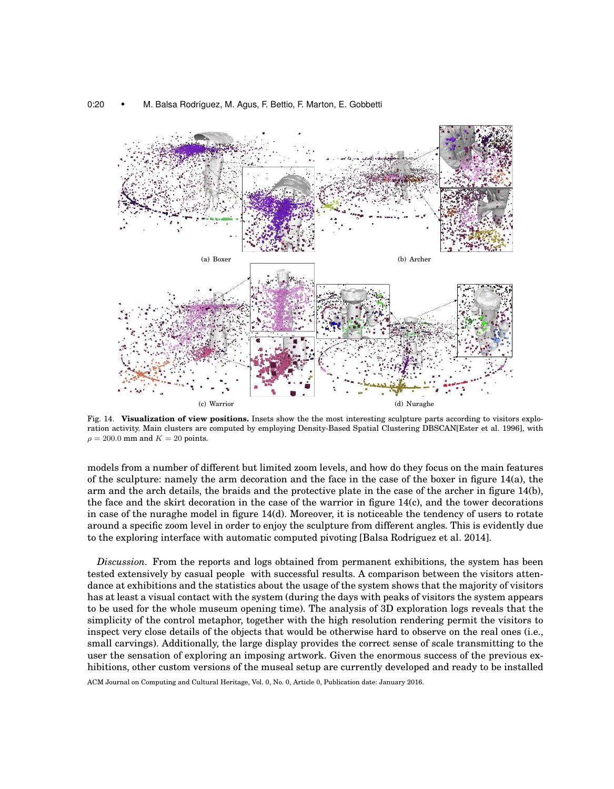



Fig. 14. **Visualization of view positions.** Insets show the the most interesting sculpture parts according to visitors exploration activity. Main clusters are computed by employing Density-Based Spatial Clustering DBSCAN[Ester et al. 1996], with  $\rho = 200.0$  mm and  $K = 20$  points.

models from a number of different but limited zoom levels, and how do they focus on the main features of the sculpture: namely the arm decoration and the face in the case of the boxer in figure 14(a), the arm and the arch details, the braids and the protective plate in the case of the archer in figure 14(b), the face and the skirt decoration in the case of the warrior in figure 14(c), and the tower decorations in case of the nuraghe model in figure 14(d). Moreover, it is noticeable the tendency of users to rotate around a specific zoom level in order to enjoy the sculpture from different angles. This is evidently due to the exploring interface with automatic computed pivoting [Balsa Rodriguez et al. 2014].

*Discussion.* From the reports and logs obtained from permanent exhibitions, the system has been tested extensively by casual people with successful results. A comparison between the visitors attendance at exhibitions and the statistics about the usage of the system shows that the majority of visitors has at least a visual contact with the system (during the days with peaks of visitors the system appears to be used for the whole museum opening time). The analysis of 3D exploration logs reveals that the simplicity of the control metaphor, together with the high resolution rendering permit the visitors to inspect very close details of the objects that would be otherwise hard to observe on the real ones (i.e., small carvings). Additionally, the large display provides the correct sense of scale transmitting to the user the sensation of exploring an imposing artwork. Given the enormous success of the previous exhibitions, other custom versions of the museal setup are currently developed and ready to be installed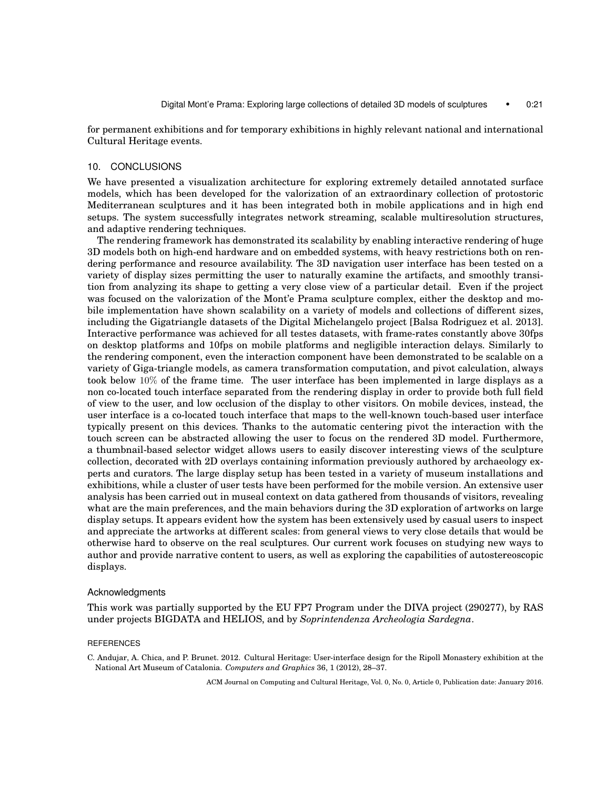for permanent exhibitions and for temporary exhibitions in highly relevant national and international Cultural Heritage events.

# 10. CONCLUSIONS

We have presented a visualization architecture for exploring extremely detailed annotated surface models, which has been developed for the valorization of an extraordinary collection of protostoric Mediterranean sculptures and it has been integrated both in mobile applications and in high end setups. The system successfully integrates network streaming, scalable multiresolution structures, and adaptive rendering techniques.

The rendering framework has demonstrated its scalability by enabling interactive rendering of huge 3D models both on high-end hardware and on embedded systems, with heavy restrictions both on rendering performance and resource availability. The 3D navigation user interface has been tested on a variety of display sizes permitting the user to naturally examine the artifacts, and smoothly transition from analyzing its shape to getting a very close view of a particular detail. Even if the project was focused on the valorization of the Mont'e Prama sculpture complex, either the desktop and mobile implementation have shown scalability on a variety of models and collections of different sizes, including the Gigatriangle datasets of the Digital Michelangelo project [Balsa Rodriguez et al. 2013]. Interactive performance was achieved for all testes datasets, with frame-rates constantly above 30fps on desktop platforms and 10fps on mobile platforms and negligible interaction delays. Similarly to the rendering component, even the interaction component have been demonstrated to be scalable on a variety of Giga-triangle models, as camera transformation computation, and pivot calculation, always took below 10% of the frame time. The user interface has been implemented in large displays as a non co-located touch interface separated from the rendering display in order to provide both full field of view to the user, and low occlusion of the display to other visitors. On mobile devices, instead, the user interface is a co-located touch interface that maps to the well-known touch-based user interface typically present on this devices. Thanks to the automatic centering pivot the interaction with the touch screen can be abstracted allowing the user to focus on the rendered 3D model. Furthermore, a thumbnail-based selector widget allows users to easily discover interesting views of the sculpture collection, decorated with 2D overlays containing information previously authored by archaeology experts and curators. The large display setup has been tested in a variety of museum installations and exhibitions, while a cluster of user tests have been performed for the mobile version. An extensive user analysis has been carried out in museal context on data gathered from thousands of visitors, revealing what are the main preferences, and the main behaviors during the 3D exploration of artworks on large display setups. It appears evident how the system has been extensively used by casual users to inspect and appreciate the artworks at different scales: from general views to very close details that would be otherwise hard to observe on the real sculptures. Our current work focuses on studying new ways to author and provide narrative content to users, as well as exploring the capabilities of autostereoscopic displays.

#### Acknowledgments

This work was partially supported by the EU FP7 Program under the DIVA project (290277), by RAS under projects BIGDATA and HELIOS, and by *Soprintendenza Archeologia Sardegna*.

#### **REFERENCES**

C. Andujar, A. Chica, and P. Brunet. 2012. Cultural Heritage: User-interface design for the Ripoll Monastery exhibition at the National Art Museum of Catalonia. *Computers and Graphics* 36, 1 (2012), 28–37.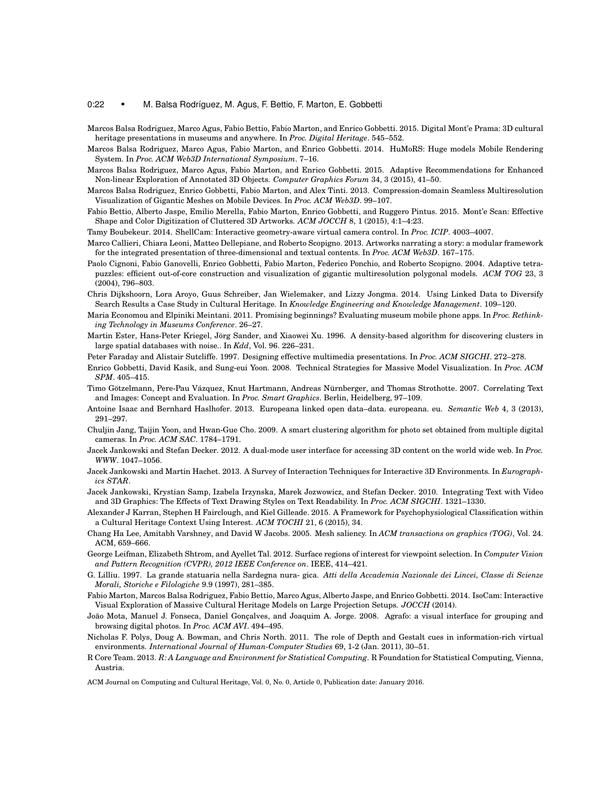#### 0:22 • M. Balsa Rodríguez, M. Agus, F. Bettio, F. Marton, E. Gobbetti

- Marcos Balsa Rodriguez, Marco Agus, Fabio Bettio, Fabio Marton, and Enrico Gobbetti. 2015. Digital Mont'e Prama: 3D cultural heritage presentations in museums and anywhere. In *Proc. Digital Heritage*. 545–552.
- Marcos Balsa Rodriguez, Marco Agus, Fabio Marton, and Enrico Gobbetti. 2014. HuMoRS: Huge models Mobile Rendering System. In *Proc. ACM Web3D International Symposium*. 7–16.
- Marcos Balsa Rodriguez, Marco Agus, Fabio Marton, and Enrico Gobbetti. 2015. Adaptive Recommendations for Enhanced Non-linear Exploration of Annotated 3D Objects. *Computer Graphics Forum* 34, 3 (2015), 41–50.
- Marcos Balsa Rodriguez, Enrico Gobbetti, Fabio Marton, and Alex Tinti. 2013. Compression-domain Seamless Multiresolution Visualization of Gigantic Meshes on Mobile Devices. In *Proc. ACM Web3D*. 99–107.
- Fabio Bettio, Alberto Jaspe, Emilio Merella, Fabio Marton, Enrico Gobbetti, and Ruggero Pintus. 2015. Mont'e Scan: Effective Shape and Color Digitization of Cluttered 3D Artworks. *ACM JOCCH* 8, 1 (2015), 4:1–4:23.

Tamy Boubekeur. 2014. ShellCam: Interactive geometry-aware virtual camera control. In *Proc. ICIP*. 4003–4007.

- Marco Callieri, Chiara Leoni, Matteo Dellepiane, and Roberto Scopigno. 2013. Artworks narrating a story: a modular framework for the integrated presentation of three-dimensional and textual contents. In *Proc. ACM Web3D*. 167–175.
- Paolo Cignoni, Fabio Ganovelli, Enrico Gobbetti, Fabio Marton, Federico Ponchio, and Roberto Scopigno. 2004. Adaptive tetrapuzzles: efficient out-of-core construction and visualization of gigantic multiresolution polygonal models. *ACM TOG* 23, 3 (2004), 796–803.
- Chris Dijkshoorn, Lora Aroyo, Guus Schreiber, Jan Wielemaker, and Lizzy Jongma. 2014. Using Linked Data to Diversify Search Results a Case Study in Cultural Heritage. In *Knowledge Engineering and Knowledge Management*. 109–120.
- Maria Economou and Elpiniki Meintani. 2011. Promising beginnings? Evaluating museum mobile phone apps. In *Proc. Rethinking Technology in Museums Conference*. 26–27.
- Martin Ester, Hans-Peter Kriegel, Jörg Sander, and Xiaowei Xu. 1996. A density-based algorithm for discovering clusters in large spatial databases with noise.. In *Kdd*, Vol. 96. 226–231.

Peter Faraday and Alistair Sutcliffe. 1997. Designing effective multimedia presentations. In *Proc. ACM SIGCHI*. 272–278.

- Enrico Gobbetti, David Kasik, and Sung-eui Yoon. 2008. Technical Strategies for Massive Model Visualization. In *Proc. ACM SPM*. 405–415.
- Timo Götzelmann, Pere-Pau Vázquez, Knut Hartmann, Andreas Nürnberger, and Thomas Strothotte. 2007. Correlating Text and Images: Concept and Evaluation. In *Proc. Smart Graphics*. Berlin, Heidelberg, 97–109.
- Antoine Isaac and Bernhard Haslhofer. 2013. Europeana linked open data–data. europeana. eu. *Semantic Web* 4, 3 (2013), 291–297.
- Chuljin Jang, Taijin Yoon, and Hwan-Gue Cho. 2009. A smart clustering algorithm for photo set obtained from multiple digital cameras. In *Proc. ACM SAC*. 1784–1791.
- Jacek Jankowski and Stefan Decker. 2012. A dual-mode user interface for accessing 3D content on the world wide web. In *Proc. WWW*. 1047–1056.
- Jacek Jankowski and Martin Hachet. 2013. A Survey of Interaction Techniques for Interactive 3D Environments. In *Eurographics STAR*.
- Jacek Jankowski, Krystian Samp, Izabela Irzynska, Marek Jozwowicz, and Stefan Decker. 2010. Integrating Text with Video and 3D Graphics: The Effects of Text Drawing Styles on Text Readability. In *Proc. ACM SIGCHI*. 1321–1330.
- Alexander J Karran, Stephen H Fairclough, and Kiel Gilleade. 2015. A Framework for Psychophysiological Classification within a Cultural Heritage Context Using Interest. *ACM TOCHI* 21, 6 (2015), 34.
- Chang Ha Lee, Amitabh Varshney, and David W Jacobs. 2005. Mesh saliency. In *ACM transactions on graphics (TOG)*, Vol. 24. ACM, 659–666.
- George Leifman, Elizabeth Shtrom, and Ayellet Tal. 2012. Surface regions of interest for viewpoint selection. In *Computer Vision and Pattern Recognition (CVPR), 2012 IEEE Conference on*. IEEE, 414–421.
- G. Lilliu. 1997. La grande statuaria nella Sardegna nura- gica. *Atti della Accademia Nazionale dei Lincei, Classe di Scienze Morali, Storiche e Filologiche* 9.9 (1997), 281–385.
- Fabio Marton, Marcos Balsa Rodriguez, Fabio Bettio, Marco Agus, Alberto Jaspe, and Enrico Gobbetti. 2014. IsoCam: Interactive Visual Exploration of Massive Cultural Heritage Models on Large Projection Setups. *JOCCH* (2014).
- João Mota, Manuel J. Fonseca, Daniel Gonçalves, and Joaquim A. Jorge. 2008. Agrafo: a visual interface for grouping and browsing digital photos. In *Proc. ACM AVI*. 494–495.
- Nicholas F. Polys, Doug A. Bowman, and Chris North. 2011. The role of Depth and Gestalt cues in information-rich virtual environments. *International Journal of Human-Computer Studies* 69, 1-2 (Jan. 2011), 30–51.
- R Core Team. 2013. *R: A Language and Environment for Statistical Computing*. R Foundation for Statistical Computing, Vienna, Austria.

ACM Journal on Computing and Cultural Heritage, Vol. 0, No. 0, Article 0, Publication date: January 2016.